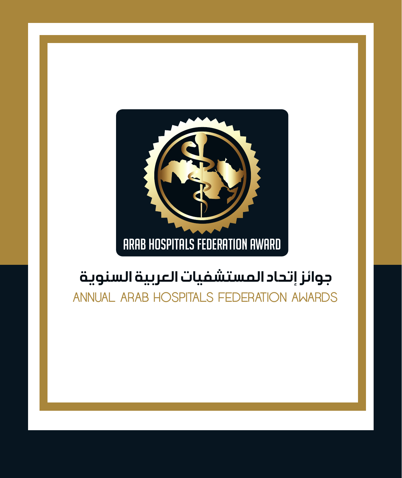

### جوائز إتحاد المستشفيات العربية السنوية

ANNUAL ARAB HOSPITALS FEDERATION AWARDS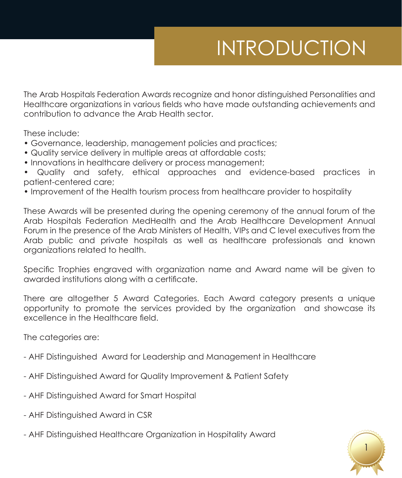# INTRODUCTION

The Arab Hospitals Federation Awards recognize and honor distinguished Personalities and Healthcare organizations in various fields who have made outstanding achievements and contribution to advance the Arab Health sector.

These include:

- Governance, leadership, management policies and practices;
- Quality service delivery in multiple areas at affordable costs;
- Innovations in healthcare delivery or process management;

• Quality and safety, ethical approaches and evidence-based practices in patient-centered care;

• Improvement of the Health tourism process from healthcare provider to hospitality

These Awards will be presented during the opening ceremony of the annual forum of the Arab Hospitals Federation MedHealth and the Arab Healthcare Development Annual Forum in the presence of the Arab Ministers of Health, VIPs and C level executives from the Arab public and private hospitals as well as healthcare professionals and known organizations related to health.

Specific Trophies engraved with organization name and Award name will be given to awarded institutions along with a certificate.

There are altogether 5 Award Categories. Each Award category presents a unique opportunity to promote the services provided by the organization and showcase its excellence in the Healthcare field.

The categories are:

- AHF Distinguished Award for Leadership and Management in Healthcare
- AHF Distinguished Award for Quality Improvement & Patient Safety
- AHF Distinguished Award for Smart Hospital
- AHF Distinguished Award in CSR
- AHF Distinguished Healthcare Organization in Hospitality Award

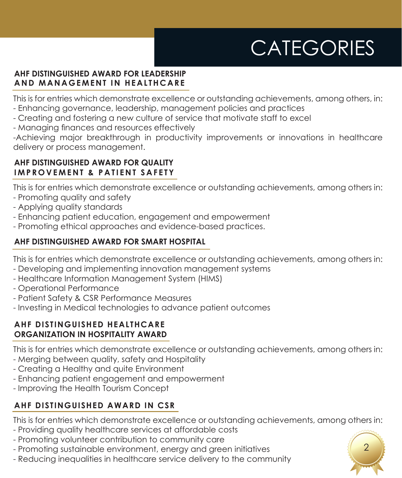# **CATEGORIES**

#### **AHF DISTINGUISHED AWARD FOR LEADERSHIP AND MANAGEMENT IN HEALTHCARE**

This is for entries which demonstrate excellence or outstanding achievements, among others, in:

- Enhancing governance, leadership, management policies and practices
- Creating and fostering a new culture of service that motivate staff to excel
- Managing finances and resources effectively

-Achieving major breakthrough in productivity improvements or innovations in healthcare delivery or process management.

### **AHF DISTINGUISHED AWARD FOR QUALITY IMPROVEMENT & PATIENT SAFETY**

This is for entries which demonstrate excellence or outstanding achievements, among others in:

- Promoting quality and safety
- Applying quality standards
- Enhancing patient education, engagement and empowerment
- Promoting ethical approaches and evidence-based practices.

### **AHF DISTINGUISHED AWARD FOR SMART HOSPITAL**

This is for entries which demonstrate excellence or outstanding achievements, among others in:

- Developing and implementing innovation management systems
- Healthcare Information Management System (HIMS)
- Operational Performance
- Patient Safety & CSR Performance Measures
- Investing in Medical technologies to advance patient outcomes

### **AHF DISTINGUISHED HEALTHCARE ORGANIZATION IN HOSPITALITY AWARD**

This is for entries which demonstrate excellence or outstanding achievements, among others in:

- Merging between quality, safety and Hospitality
- Creating a Healthy and quite Environment
- Enhancing patient engagement and empowerment
- Improving the Health Tourism Concept

### **AHF DISTINGUISHED AWARD IN CSR**

This is for entries which demonstrate excellence or outstanding achievements, among others in:

- Providing quality healthcare services at affordable costs
- Promoting volunteer contribution to community care
- Promoting sustainable environment, energy and green initiatives
- Reducing inequalities in healthcare service delivery to the community